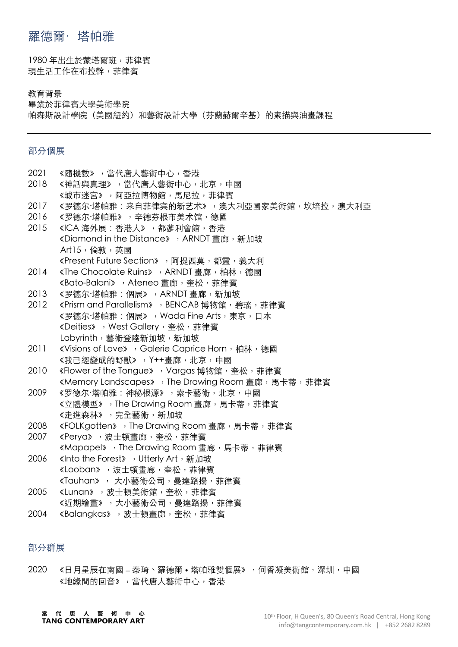## 羅德爾·塔帕雅

1980 年出⽣於蒙塔爾班,菲律賓 現⽣活⼯作在布拉幹,菲律賓

教育背景

畢業於菲律賓⼤學美術學院 帕森斯設計學院(美國紐約)和藝術設計⼤學(芬蘭赫爾⾟基)的素描與油畫課程

#### 部分個展

| 2021 | 《隨機數》,當代唐人藝術中心,香港                                  |
|------|----------------------------------------------------|
| 2018 | 《神話與真理》,當代唐人藝術中心,北京,中國                             |
|      | 《城市迷宫》,阿亞拉博物館,馬尼拉,菲律賓                              |
| 2017 | 《罗德尔·塔帕雅:来自菲律宾的新艺术》,澳大利亞國家美術館,坎培拉,澳大利亞             |
| 2016 | 《罗德尔·塔帕雅》,辛德芬根市美术馆,德國                              |
| 2015 | 《ICA 海外展:香港人》,都爹利會館,香港                             |
|      | 《Diamond in the Distance》, ARNDT 畫廊, 新加坡           |
|      | Art15, 倫敦, 英國                                      |
|      | 《Present Future Section》,阿提西莫,都靈,義大利               |
| 2014 | 《The Chocolate Ruins》, ARNDT 畫廊, 柏林, 德國            |
|      | 《Bato-Balani》,Ateneo 畫廊,奎松,菲律賓                     |
| 2013 | 《罗德尔·塔帕雅:個展》,ARNDT 畫廊,新加坡                          |
| 2012 | 《Prism and Parallelism》, BENCAB 博物館, 碧瑤, 菲律賓       |
|      | 《罗德尔·塔帕雅:個展》,Wada Fine Arts,東京,日本                  |
|      | 《Deities》, West Gallery, 奎松, 菲律賓                   |
|      | Labyrinth, 藝術登陸新加坡, 新加坡                            |
| 2011 | 《Visions of Love》, Galerie Caprice Horn, 柏林, 德國    |
|      | 《我已經變成的野獸》, Y++畫廊, 北京, 中國                          |
| 2010 | 《Flower of the Tongue》, Vargas 博物館, 奎松, 菲律賓        |
|      | 《Memory Landscapes》, The Drawing Room 畫廊, 馬卡蒂, 菲律賓 |
| 2009 | 《罗德尔·塔帕雅:神秘根源》,索卡藝術,北京,中國                          |
|      | 《立體模型》, The Drawing Room 畫廊, 馬卡蒂, 菲律賓              |
|      | 《走進森林》,完全藝術,新加坡                                    |
| 2008 | 《FOLKgotten》,The Drawing Room 畫廊,馬卡蒂,菲律賓           |
| 2007 | 《Perya》,波士頓畫廊,奎松,菲律賓                               |
|      | 《Mapapel》,The Drawing Room 畫廊,馬卡蒂,菲律賓              |
| 2006 | «Into the Forest», Utterly Art, 新加坡                |
|      | 《Looban》,波士頓畫廊,奎松,菲律賓                              |
|      | 《Tauhan》, 大小藝術公司, 曼達路揚, 菲律賓                        |
| 2005 | 《Lunan》,波士頓美術館,奎松,菲律賓                              |
|      | 《近期繪畫》,大小藝術公司,曼達路揚,菲律賓                             |
| 2004 | 《Balangkas》,波士頓畫廊,奎松,菲律賓                           |
|      |                                                    |

### 部分群展

2020 《日月星辰在南國 – 秦琦、羅德爾 • 塔帕雅雙個展》, 何香凝美術館, 深圳, 中國 《地緣間的回音》,當代唐人藝術中心,香港

# 當 代 唐 人 藝 術 中 心<br>TANG CONTEMPORARY ART